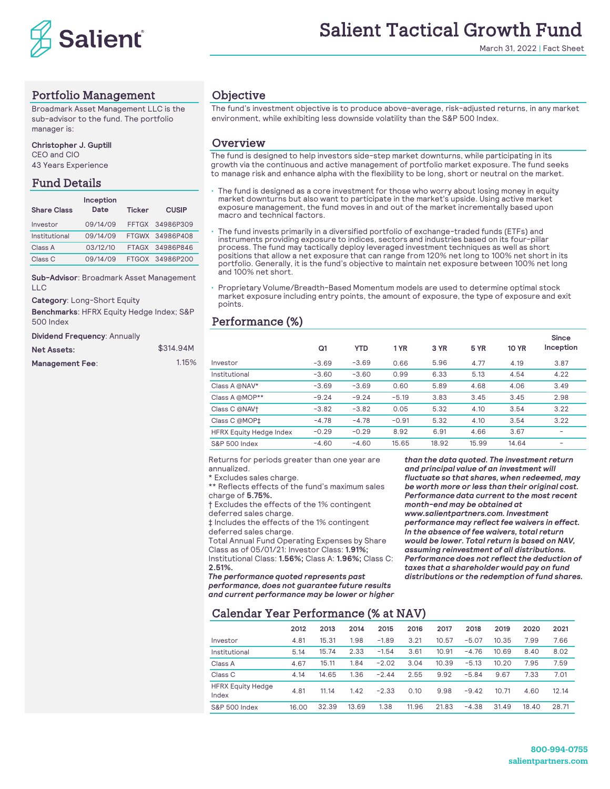

# Salient Tactical Growth Fund

March 31, 2022 | Fact Sheet

# Portfolio Management

Broadmark Asset Management LLC is the sub-advisor to the fund. The portfolio manager is:

**Christopher J. Guptill** CEO and CIO

43 Years Experience

# Fund Details

| <b>Share Class</b> | Inception<br>Date | <b>Ticker</b> | <b>CUSIP</b>    |
|--------------------|-------------------|---------------|-----------------|
| Investor           | 09/14/09          |               | FFTGX 34986P309 |
| Institutional      | 09/14/09          |               | FTGWX 34986P408 |
| Class A            | 03/12/10          |               | FTAGX 34986P846 |
| Class C            | 09/14/09          |               | FTGOX 34986P200 |

**Sub-Advisor**: Broadmark Asset Management LLC

**Category**: Long-Short Equity

**Benchmarks**: HFRX Equity Hedge Index; S&P 500 Index

**Dividend Frequency**: Annually

| <b>Net Assets:</b>     | \$314.94M |          |
|------------------------|-----------|----------|
| <b>Management Fee:</b> | 1.15%     | Investor |

## **Objective**

The fund's investment objective is to produce above-average, risk-adjusted returns, in any market environment, while exhibiting less downside volatility than the S&P 500 Index.

#### **Overview**

The fund is designed to help investors side-step market downturns, while participating in its growth via the continuous and active management of portfolio market exposure. The fund seeks to manage risk and enhance alpha with the flexibility to be long, short or neutral on the market.

The fund is designed as a core investment for those who worry about losing money in equity market downturns but also want to participate in the market's upside. Using active market exposure management, the fund moves in and out of the market incrementally based upon macro and technical factors.

- The fund invests primarily in a diversified portfolio of exchange-traded funds (ETFs) and instruments providing exposure to indices, sectors and industries based on its four-pillar process. The fund may tactically deploy leveraged investment techniques as well as short positions that allow a net exposure that can range from 120% net long to 100% net short in its portfolio. Generally, it is the fund's objective to maintain net exposure between 100% net long and 100% net short.
- Proprietary Volume/Breadth-Based Momentum models are used to determine optimal stock market exposure including entry points, the amount of exposure, the type of exposure and exit points.

# Performance (%)

|         |            |         |       |             |              | Since                        |
|---------|------------|---------|-------|-------------|--------------|------------------------------|
| Q1      | <b>YTD</b> | 1 YR    | 3 YR  | <b>5 YR</b> | <b>10 YR</b> | Inception                    |
| $-3.69$ | $-3.69$    | 0.66    | 5.96  | 4.77        | 4.19         | 3.87                         |
| $-3.60$ | $-3.60$    | 0.99    | 6.33  | 5.13        | 4.54         | 4.22                         |
| $-3.69$ | $-3.69$    | 0.60    | 5.89  | 4.68        | 4.06         | 3.49                         |
| $-9.24$ | $-9.24$    | $-5.19$ | 3.83  | 3.45        | 3.45         | 2.98                         |
| $-3.82$ | $-3.82$    | 0.05    | 5.32  | 4.10        | 3.54         | 3.22                         |
| $-4.78$ | $-4.78$    | $-0.91$ | 5.32  | 4.10        | 3.54         | 3.22                         |
| $-0.29$ | $-0.29$    | 8.92    | 6.91  | 4.66        | 3.67         | $\overline{\phantom{0}}$     |
| $-4.60$ | $-4.60$    | 15.65   | 18.92 | 15.99       | 14.64        | $\qquad \qquad \blacksquare$ |
|         |            |         |       |             |              |                              |

Returns for periods greater than one year are annualized.

\* Excludes sales charge.

\*\* Reflects effects of the fund's maximum sales charge of **5.75%.**

† Excludes the effects of the 1% contingent deferred sales charge.

‡ Includes the effects of the 1% contingent deferred sales charge.

Total Annual Fund Operating Expenses by Share Class as of 05/01/21: Investor Class: **1.91%;**  Institutional Class: **1.56%;** Class A: **1.96%;** Class C: **2.51%.** 

*The performance quoted represents past performance, does not guarantee future results and current performance may be lower or higher*  *than the data quoted. The investment return and principal value of an investment will fluctuate so that shares, when redeemed, may be worth more or less than their original cost. Performance data current to the most recent month-end may be obtained at www.salientpartners.com. Investment performance may reflect fee waivers in effect. In the absence of fee waivers, total return would be lower. Total return is based on NAV, assuming reinvestment of all distributions. Performance does not reflect the deduction of taxes that a shareholder would pay on fund distributions or the redemption of fund shares.*

# Calendar Year Performance (% at NAV)

|                                   | 2012  | 2013  | 2014  | 2015    | 2016  | 2017  | 2018    | 2019  | 2020  | 2021  |
|-----------------------------------|-------|-------|-------|---------|-------|-------|---------|-------|-------|-------|
| Investor                          | 4.81  | 15.31 | 1.98  | $-1.89$ | 3.21  | 10.57 | $-5.07$ | 10.35 | 7.99  | 7.66  |
| Institutional                     | 5.14  | 15.74 | 2.33  | $-1.54$ | 3.61  | 10.91 | $-4.76$ | 10.69 | 8.40  | 8.02  |
| Class A                           | 4.67  | 15.11 | 1.84  | $-2.02$ | 3.04  | 10.39 | $-5.13$ | 10.20 | 7.95  | 7.59  |
| Class <sub>C</sub>                | 4.14  | 14.65 | 1.36  | $-2.44$ | 2.55  | 9.92  | $-5.84$ | 9.67  | 7.33  | 7.01  |
| <b>HFRX Equity Hedge</b><br>Index | 4.81  | 11.14 | 1.42  | $-2.33$ | 0.10  | 9.98  | $-9.42$ | 10.71 | 4.60  | 12.14 |
| S&P 500 Index                     | 16.00 | 32.39 | 13.69 | 1.38    | 11.96 | 21.83 | $-4.38$ | 31.49 | 18.40 | 28.71 |